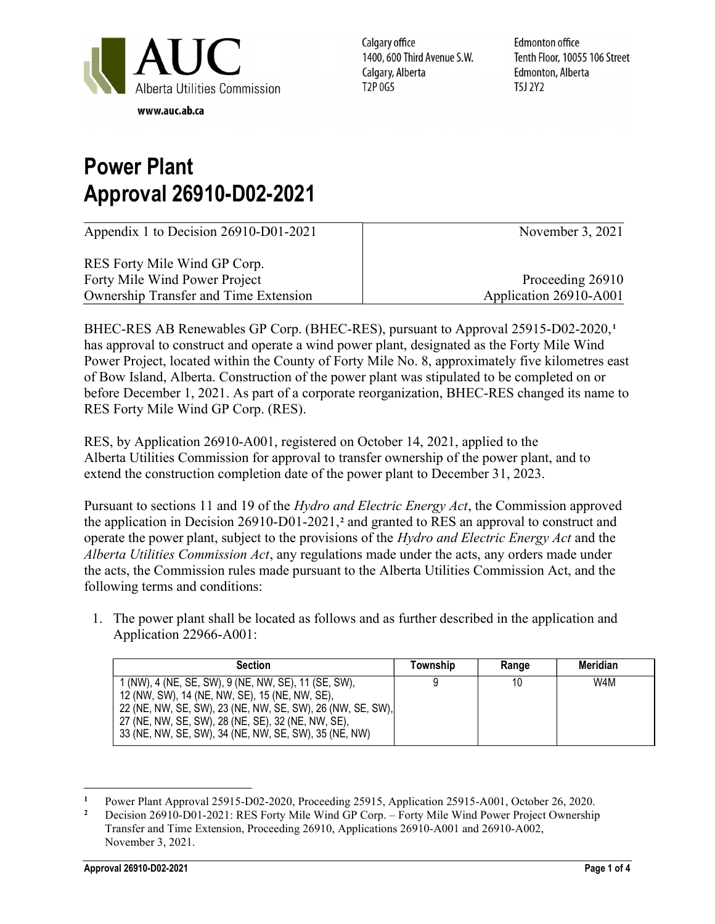

Calgary office 1400, 600 Third Avenue S.W. Calgary, Alberta T2P 0G5

**Edmonton office** Tenth Floor, 10055 106 Street Edmonton, Alberta T5J 2Y2

## Power Plant Approval 26910-D02-2021

| Appendix 1 to Decision 26910-D01-2021        | November $3, 2021$     |
|----------------------------------------------|------------------------|
| RES Forty Mile Wind GP Corp.                 |                        |
| Forty Mile Wind Power Project                | Proceeding 26910       |
| <b>Ownership Transfer and Time Extension</b> | Application 26910-A001 |

BHEC-RES AB Renewables GP Corp. (BHEC-RES), pursuant to Approval 25915-D02-2020, <sup>1</sup> has approval to construct and operate a wind power plant, designated as the Forty Mile Wind Power Project, located within the County of Forty Mile No. 8, approximately five kilometres east of Bow Island, Alberta. Construction of the power plant was stipulated to be completed on or before December 1, 2021. As part of a corporate reorganization, BHEC-RES changed its name to RES Forty Mile Wind GP Corp. (RES).

RES, by Application 26910-A001, registered on October 14, 2021, applied to the Alberta Utilities Commission for approval to transfer ownership of the power plant, and to extend the construction completion date of the power plant to December 31, 2023.

Pursuant to sections 11 and 19 of the *Hydro and Electric Energy Act*, the Commission approved the application in Decision  $26910-D01-2021$ ,<sup>2</sup> and granted to RES an approval to construct and operate the power plant, subject to the provisions of the Hydro and Electric Energy Act and the Alberta Utilities Commission Act, any regulations made under the acts, any orders made under the acts, the Commission rules made pursuant to the Alberta Utilities Commission Act, and the following terms and conditions:

1. The power plant shall be located as follows and as further described in the application and Application 22966-A001:

| <b>Section</b>                                                                                                                                                       | Township | Range | Meridian |
|----------------------------------------------------------------------------------------------------------------------------------------------------------------------|----------|-------|----------|
| 1 (NW), 4 (NE, SE, SW), 9 (NE, NW, SE), 11 (SE, SW),<br>12 (NW, SW), 14 (NE, NW, SE), 15 (NE, NW, SE),<br>22 (NE, NW, SE, SW), 23 (NE, NW, SE, SW), 26 (NW, SE, SW), |          | 10    | W4M      |
| 27 (NE, NW, SE, SW), 28 (NE, SE), 32 (NE, NW, SE),<br>33 (NE, NW, SE, SW), 34 (NE, NW, SE, SW), 35 (NE, NW)                                                          |          |       |          |

<sup>1</sup> Power Plant Approval 25915-D02-2020, Proceeding 25915, Application 25915-A001, October 26, 2020.

<sup>2</sup> Decision 26910-D01-2021: RES Forty Mile Wind GP Corp. – Forty Mile Wind Power Project Ownership Transfer and Time Extension, Proceeding 26910, Applications 26910-A001 and 26910-A002, November 3, 2021.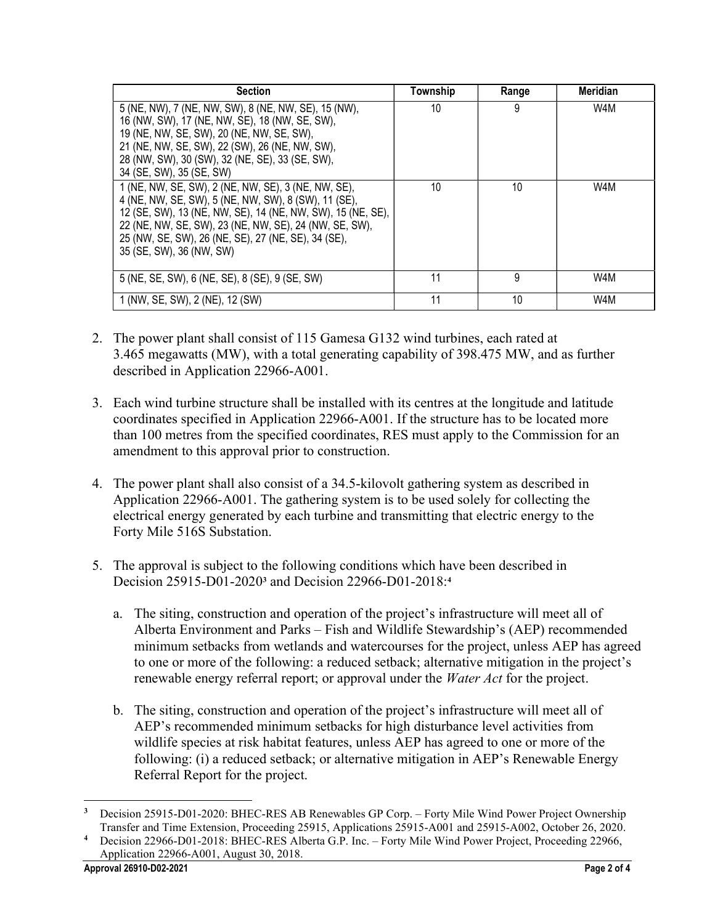| <b>Section</b>                                                                                                                                                                                                                                                                                                          | Township | Range | <b>Meridian</b> |
|-------------------------------------------------------------------------------------------------------------------------------------------------------------------------------------------------------------------------------------------------------------------------------------------------------------------------|----------|-------|-----------------|
| 5 (NE, NW), 7 (NE, NW, SW), 8 (NE, NW, SE), 15 (NW),<br>16 (NW, SW), 17 (NE, NW, SE), 18 (NW, SE, SW),<br>19 (NE, NW, SE, SW), 20 (NE, NW, SE, SW),<br>21 (NE, NW, SE, SW), 22 (SW), 26 (NE, NW, SW),<br>28 (NW, SW), 30 (SW), 32 (NE, SE), 33 (SE, SW),<br>34 (SE, SW), 35 (SE, SW)                                    | 10       | 9     | W4M             |
| 1 (NE, NW, SE, SW), 2 (NE, NW, SE), 3 (NE, NW, SE),<br>4 (NE, NW, SE, SW), 5 (NE, NW, SW), 8 (SW), 11 (SE),<br>12 (SE, SW), 13 (NE, NW, SE), 14 (NE, NW, SW), 15 (NE, SE),<br>22 (NE, NW, SE, SW), 23 (NE, NW, SE), 24 (NW, SE, SW),<br>25 (NW, SE, SW), 26 (NE, SE), 27 (NE, SE), 34 (SE),<br>35 (SE, SW), 36 (NW, SW) | 10       | 10    | W4M             |
| 5 (NE, SE, SW), 6 (NE, SE), 8 (SE), 9 (SE, SW)                                                                                                                                                                                                                                                                          | 11       | 9     | W4M             |
| 1 (NW, SE, SW), 2 (NE), 12 (SW)                                                                                                                                                                                                                                                                                         | 11       | 10    | W4M             |

- 2. The power plant shall consist of 115 Gamesa G132 wind turbines, each rated at 3.465 megawatts (MW), with a total generating capability of 398.475 MW, and as further described in Application 22966-A001.
- 3. Each wind turbine structure shall be installed with its centres at the longitude and latitude coordinates specified in Application 22966-A001. If the structure has to be located more than 100 metres from the specified coordinates, RES must apply to the Commission for an amendment to this approval prior to construction.
- 4. The power plant shall also consist of a 34.5-kilovolt gathering system as described in Application 22966-A001. The gathering system is to be used solely for collecting the electrical energy generated by each turbine and transmitting that electric energy to the Forty Mile 516S Substation.
- 5. The approval is subject to the following conditions which have been described in Decision 25915-D01-2020<sup>3</sup> and Decision 22966-D01-2018:<sup>4</sup>
	- a. The siting, construction and operation of the project's infrastructure will meet all of Alberta Environment and Parks – Fish and Wildlife Stewardship's (AEP) recommended minimum setbacks from wetlands and watercourses for the project, unless AEP has agreed to one or more of the following: a reduced setback; alternative mitigation in the project's renewable energy referral report; or approval under the *Water Act* for the project.
	- b. The siting, construction and operation of the project's infrastructure will meet all of AEP's recommended minimum setbacks for high disturbance level activities from wildlife species at risk habitat features, unless AEP has agreed to one or more of the following: (i) a reduced setback; or alternative mitigation in AEP's Renewable Energy Referral Report for the project.

<sup>3</sup> Decision 25915-D01-2020: BHEC-RES AB Renewables GP Corp. – Forty Mile Wind Power Project Ownership Transfer and Time Extension, Proceeding 25915, Applications 25915-A001 and 25915-A002, October 26, 2020.

<sup>4</sup> Decision 22966-D01-2018: BHEC-RES Alberta G.P. Inc. – Forty Mile Wind Power Project, Proceeding 22966, Application 22966-A001, August 30, 2018.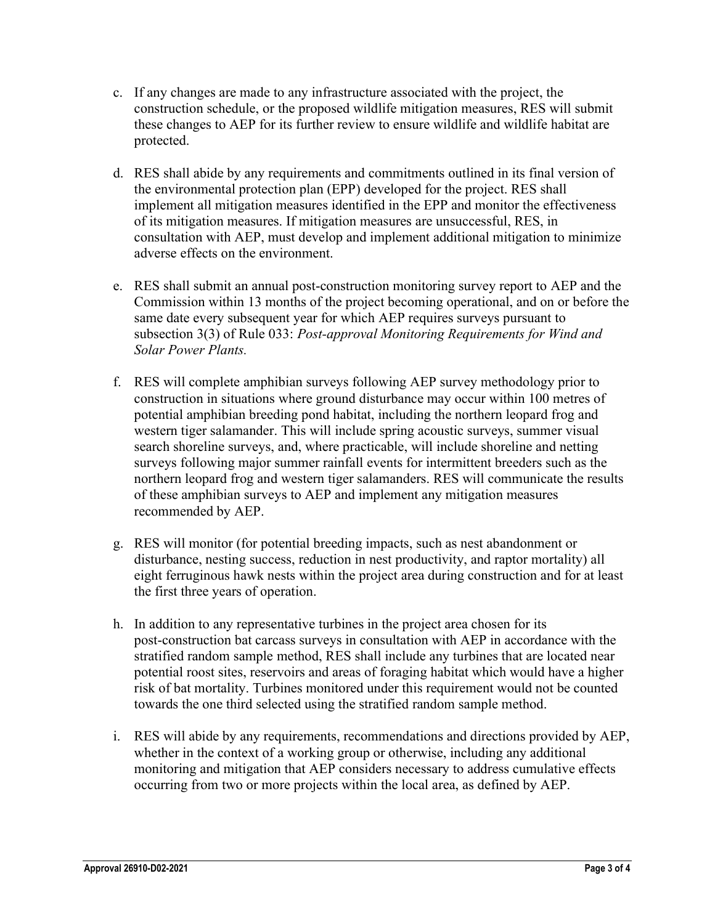- c. If any changes are made to any infrastructure associated with the project, the construction schedule, or the proposed wildlife mitigation measures, RES will submit these changes to AEP for its further review to ensure wildlife and wildlife habitat are protected.
- d. RES shall abide by any requirements and commitments outlined in its final version of the environmental protection plan (EPP) developed for the project. RES shall implement all mitigation measures identified in the EPP and monitor the effectiveness of its mitigation measures. If mitigation measures are unsuccessful, RES, in consultation with AEP, must develop and implement additional mitigation to minimize adverse effects on the environment.
- e. RES shall submit an annual post-construction monitoring survey report to AEP and the Commission within 13 months of the project becoming operational, and on or before the same date every subsequent year for which AEP requires surveys pursuant to subsection 3(3) of Rule 033: Post-approval Monitoring Requirements for Wind and Solar Power Plants.
- f. RES will complete amphibian surveys following AEP survey methodology prior to construction in situations where ground disturbance may occur within 100 metres of potential amphibian breeding pond habitat, including the northern leopard frog and western tiger salamander. This will include spring acoustic surveys, summer visual search shoreline surveys, and, where practicable, will include shoreline and netting surveys following major summer rainfall events for intermittent breeders such as the northern leopard frog and western tiger salamanders. RES will communicate the results of these amphibian surveys to AEP and implement any mitigation measures recommended by AEP.
- g. RES will monitor (for potential breeding impacts, such as nest abandonment or disturbance, nesting success, reduction in nest productivity, and raptor mortality) all eight ferruginous hawk nests within the project area during construction and for at least the first three years of operation.
- h. In addition to any representative turbines in the project area chosen for its post-construction bat carcass surveys in consultation with AEP in accordance with the stratified random sample method, RES shall include any turbines that are located near potential roost sites, reservoirs and areas of foraging habitat which would have a higher risk of bat mortality. Turbines monitored under this requirement would not be counted towards the one third selected using the stratified random sample method.
- i. RES will abide by any requirements, recommendations and directions provided by AEP, whether in the context of a working group or otherwise, including any additional monitoring and mitigation that AEP considers necessary to address cumulative effects occurring from two or more projects within the local area, as defined by AEP.